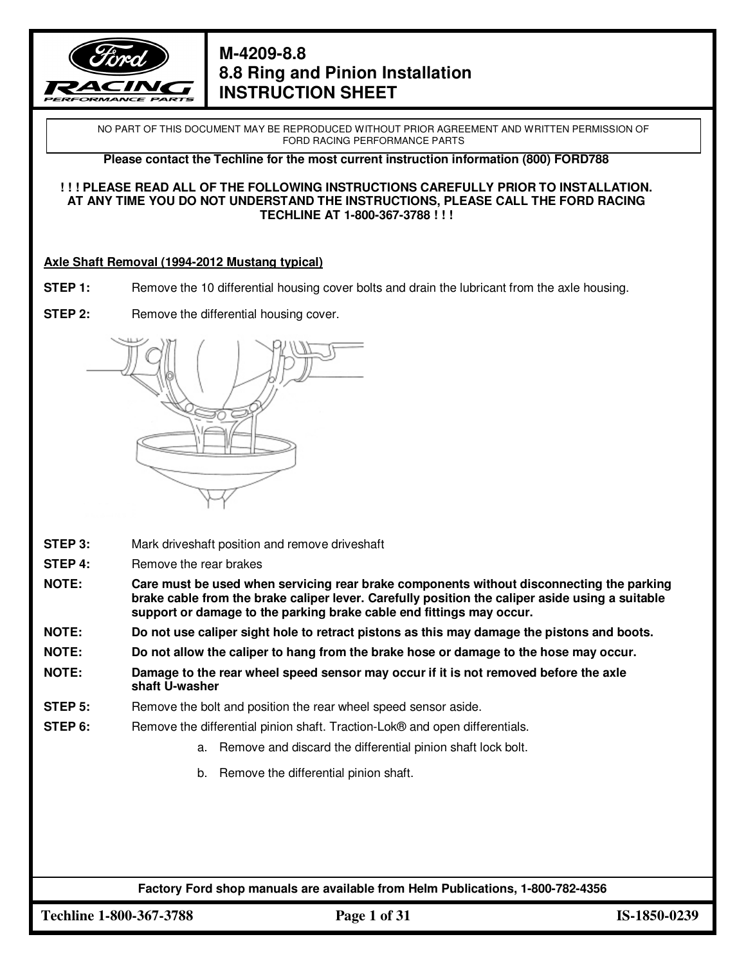

NO PART OF THIS DOCUMENT MAY BE REPRODUCED WITHOUT PRIOR AGREEMENT AND WRITTEN PERMISSION OF FORD RACING PERFORMANCE PARTS

**Please contact the Techline for the most current instruction information (800) FORD788** 

#### **! ! ! PLEASE READ ALL OF THE FOLLOWING INSTRUCTIONS CAREFULLY PRIOR TO INSTALLATION. AT ANY TIME YOU DO NOT UNDERSTAND THE INSTRUCTIONS, PLEASE CALL THE FORD RACING TECHLINE AT 1-800-367-3788 ! ! !**

#### **Axle Shaft Removal (1994-2012 Mustang typical)**

- **STEP 1:** Remove the 10 differential housing cover bolts and drain the lubricant from the axle housing.
- **STEP 2:** Remove the differential housing cover.



- **STEP 3:** Mark driveshaft position and remove driveshaft
- **STEP 4:** Remove the rear brakes
- **NOTE: Care must be used when servicing rear brake components without disconnecting the parking brake cable from the brake caliper lever. Carefully position the caliper aside using a suitable support or damage to the parking brake cable end fittings may occur.**
- **NOTE: Do not use caliper sight hole to retract pistons as this may damage the pistons and boots.**
- **NOTE: Do not allow the caliper to hang from the brake hose or damage to the hose may occur.**
- **NOTE: Damage to the rear wheel speed sensor may occur if it is not removed before the axle shaft U-washer**
- **STEP 5:** Remove the bolt and position the rear wheel speed sensor aside.
- **STEP 6:** Remove the differential pinion shaft. Traction-Lok® and open differentials.
	- a. Remove and discard the differential pinion shaft lock bolt.
	- b. Remove the differential pinion shaft.

**Factory Ford shop manuals are available from Helm Publications, 1-800-782-4356**

**Techline 1-800-367-3788 Page 1 of 31 IS-1850-0239**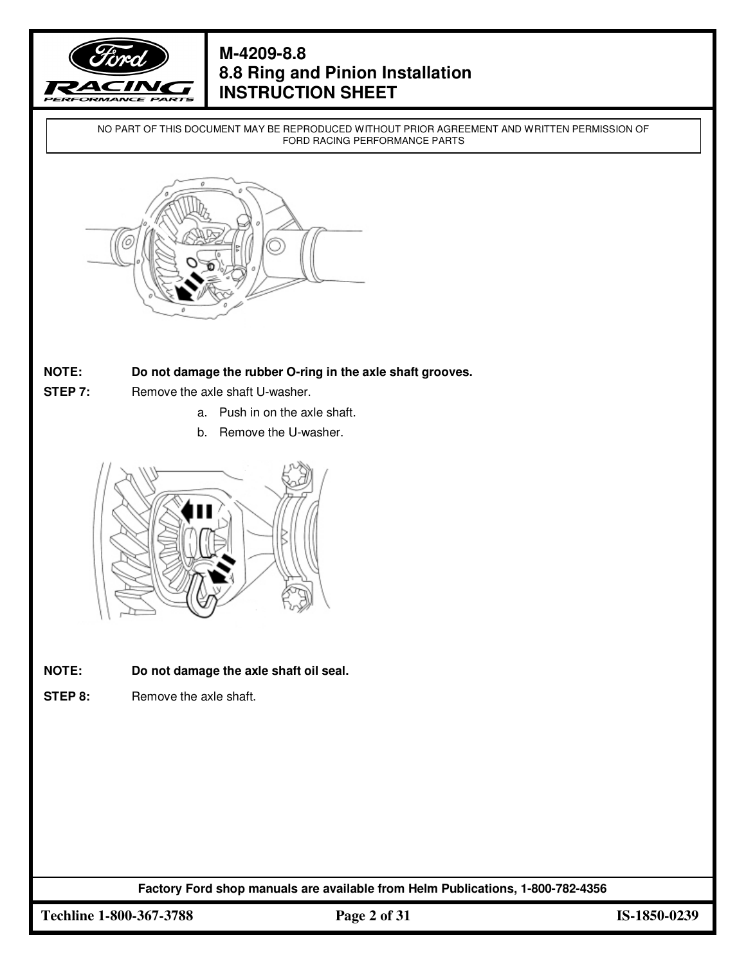

NO PART OF THIS DOCUMENT MAY BE REPRODUCED WITHOUT PRIOR AGREEMENT AND WRITTEN PERMISSION OF FORD RACING PERFORMANCE PARTS



#### **NOTE: Do not damage the rubber O-ring in the axle shaft grooves.**

- **STEP 7:** Remove the axle shaft U-washer.
	- a. Push in on the axle shaft.
	- b. Remove the U-washer.



- **NOTE: Do not damage the axle shaft oil seal.**
- **STEP 8:** Remove the axle shaft.

**Factory Ford shop manuals are available from Helm Publications, 1-800-782-4356**

**Techline 1-800-367-3788 Page 2 of 31 IS-1850-0239**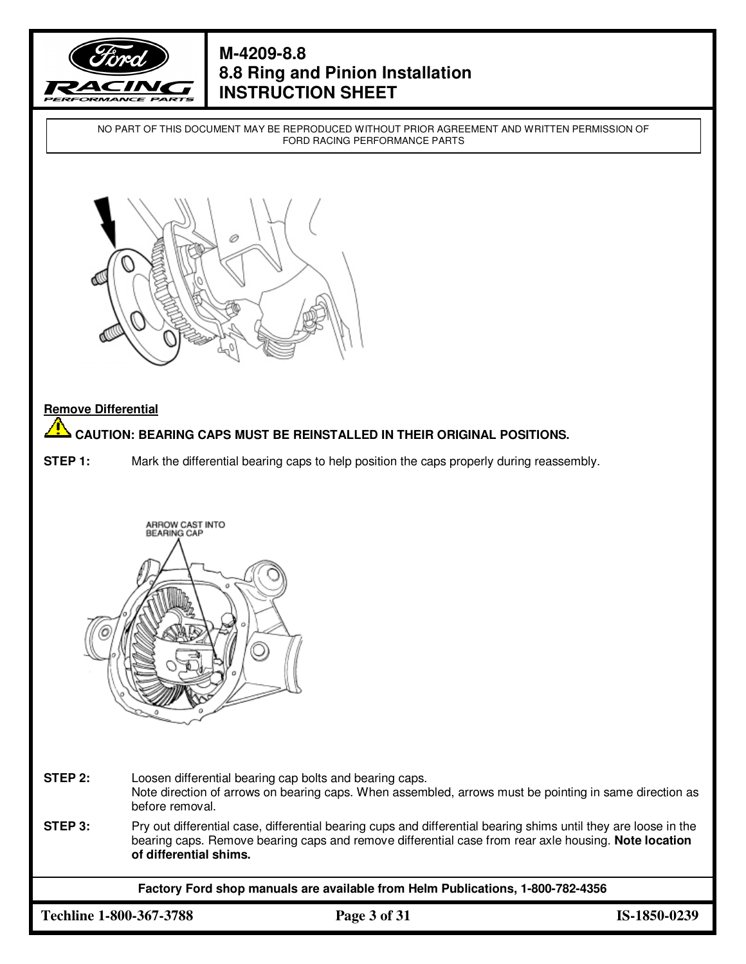

NO PART OF THIS DOCUMENT MAY BE REPRODUCED WITHOUT PRIOR AGREEMENT AND WRITTEN PERMISSION OF FORD RACING PERFORMANCE PARTS



#### **Remove Differential**

#### <u>л</u> **CAUTION: BEARING CAPS MUST BE REINSTALLED IN THEIR ORIGINAL POSITIONS.**

**STEP 1:** Mark the differential bearing caps to help position the caps properly during reassembly.



**STEP 2:** Loosen differential bearing cap bolts and bearing caps. Note direction of arrows on bearing caps. When assembled, arrows must be pointing in same direction as before removal.

**STEP 3:** Pry out differential case, differential bearing cups and differential bearing shims until they are loose in the bearing caps. Remove bearing caps and remove differential case from rear axle housing. **Note location of differential shims.** 

**Factory Ford shop manuals are available from Helm Publications, 1-800-782-4356**

**Techline 1-800-367-3788 Page 3 of 31 IS-1850-0239**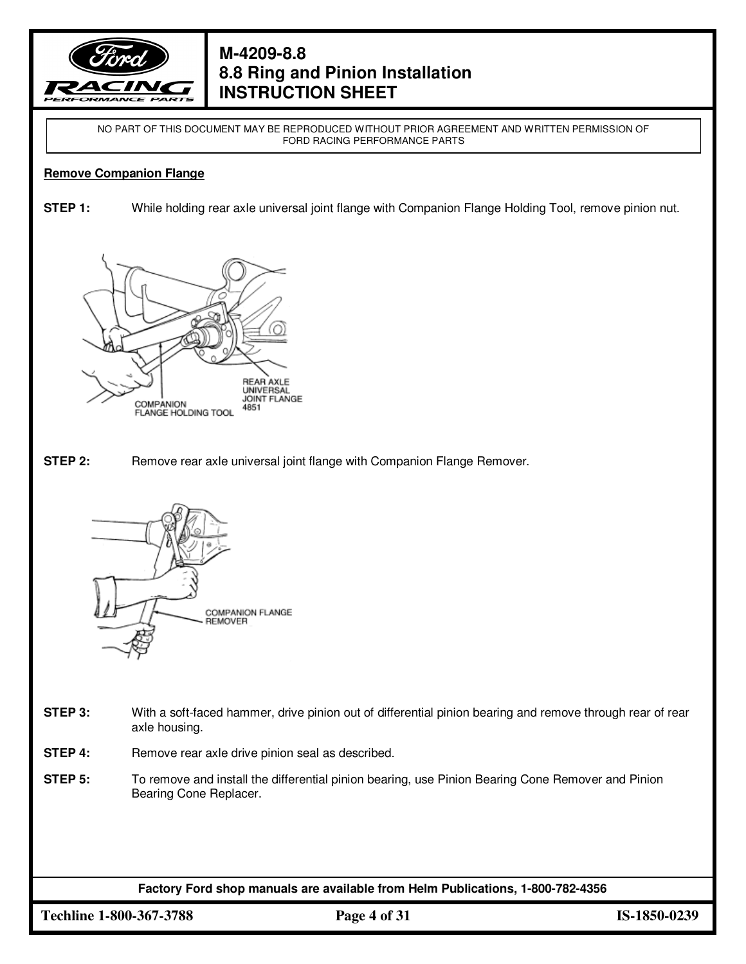

NO PART OF THIS DOCUMENT MAY BE REPRODUCED WITHOUT PRIOR AGREEMENT AND WRITTEN PERMISSION OF FORD RACING PERFORMANCE PARTS

#### **Remove Companion Flange**

**STEP 1:** While holding rear axle universal joint flange with Companion Flange Holding Tool, remove pinion nut.



**STEP 2:** Remove rear axle universal joint flange with Companion Flange Remover.



- **STEP 3:** With a soft-faced hammer, drive pinion out of differential pinion bearing and remove through rear of rear axle housing.
- **STEP 4:** Remove rear axle drive pinion seal as described.
- **STEP 5:** To remove and install the differential pinion bearing, use Pinion Bearing Cone Remover and Pinion Bearing Cone Replacer.

**Factory Ford shop manuals are available from Helm Publications, 1-800-782-4356**

**Techline 1-800-367-3788 Page 4 of 31 IS-1850-0239**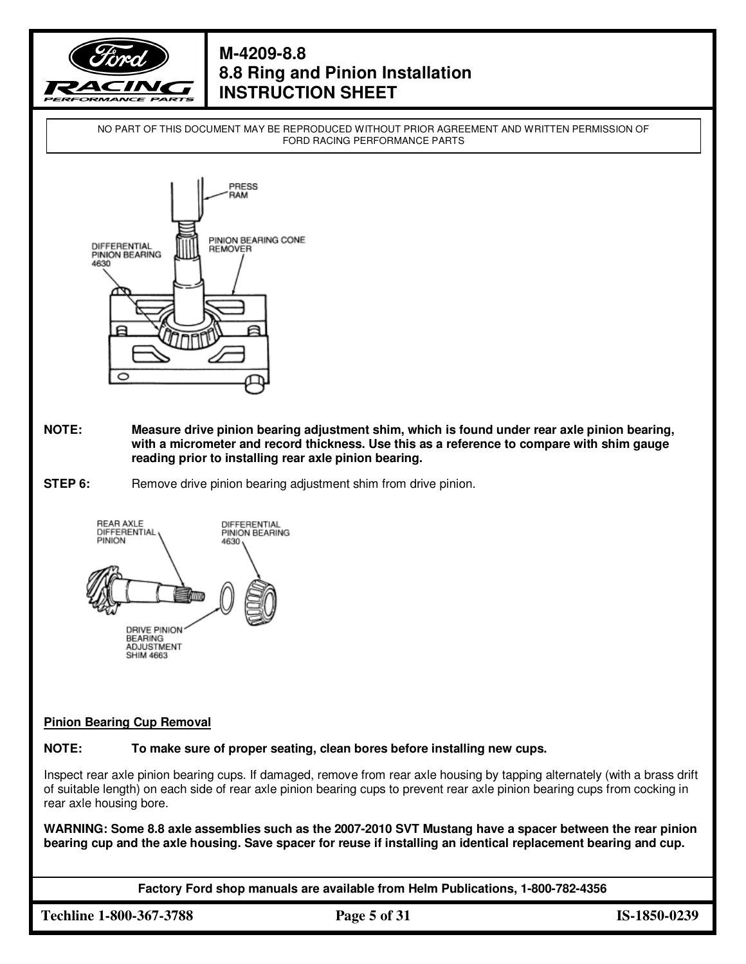

NO PART OF THIS DOCUMENT MAY BE REPRODUCED WITHOUT PRIOR AGREEMENT AND WRITTEN PERMISSION OF FORD RACING PERFORMANCE PARTS



- **NOTE: Measure drive pinion bearing adjustment shim, which is found under rear axle pinion bearing, with a micrometer and record thickness. Use this as a reference to compare with shim gauge reading prior to installing rear axle pinion bearing.**
- **STEP 6:** Remove drive pinion bearing adjustment shim from drive pinion.



#### **Pinion Bearing Cup Removal**

**NOTE: To make sure of proper seating, clean bores before installing new cups.** 

Inspect rear axle pinion bearing cups. If damaged, remove from rear axle housing by tapping alternately (with a brass drift of suitable length) on each side of rear axle pinion bearing cups to prevent rear axle pinion bearing cups from cocking in rear axle housing bore.

**WARNING: Some 8.8 axle assemblies such as the 2007-2010 SVT Mustang have a spacer between the rear pinion bearing cup and the axle housing. Save spacer for reuse if installing an identical replacement bearing and cup.**

**Factory Ford shop manuals are available from Helm Publications, 1-800-782-4356**

**Techline 1-800-367-3788 Page 5 of 31 IS-1850-0239**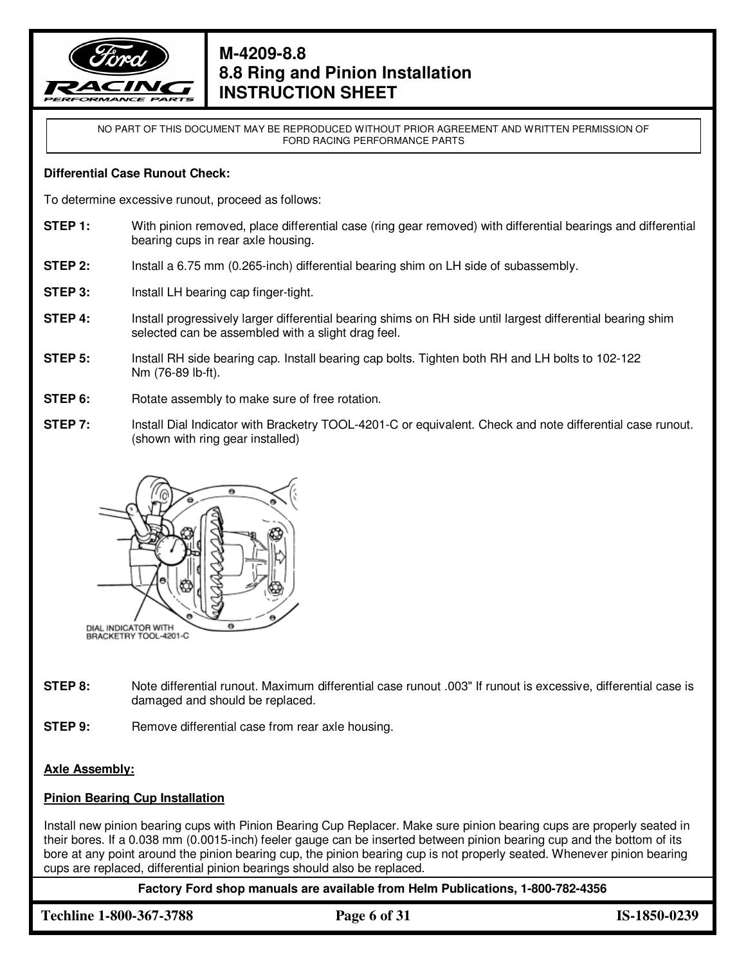

NO PART OF THIS DOCUMENT MAY BE REPRODUCED WITHOUT PRIOR AGREEMENT AND WRITTEN PERMISSION OF FORD RACING PERFORMANCE PARTS

#### **Differential Case Runout Check:**

To determine excessive runout, proceed as follows:

- **STEP 1:** With pinion removed, place differential case (ring gear removed) with differential bearings and differential bearing cups in rear axle housing.
- **STEP 2:** Install a 6.75 mm (0.265-inch) differential bearing shim on LH side of subassembly.
- **STEP 3:** Install LH bearing cap finger-tight.
- **STEP 4:** Install progressively larger differential bearing shims on RH side until largest differential bearing shim selected can be assembled with a slight drag feel.
- **STEP 5:** Install RH side bearing cap. Install bearing cap bolts. Tighten both RH and LH bolts to 102-122 Nm (76-89 lb-ft).
- **STEP 6:** Rotate assembly to make sure of free rotation.
- **STEP 7:** Install Dial Indicator with Bracketry TOOL-4201-C or equivalent. Check and note differential case runout. (shown with ring gear installed)



- **STEP 8:** Note differential runout. Maximum differential case runout .003" If runout is excessive, differential case is damaged and should be replaced.
- **STEP 9:** Remove differential case from rear axle housing.

### **Axle Assembly:**

### **Pinion Bearing Cup Installation**

Install new pinion bearing cups with Pinion Bearing Cup Replacer. Make sure pinion bearing cups are properly seated in their bores. If a 0.038 mm (0.0015-inch) feeler gauge can be inserted between pinion bearing cup and the bottom of its bore at any point around the pinion bearing cup, the pinion bearing cup is not properly seated. Whenever pinion bearing cups are replaced, differential pinion bearings should also be replaced.

**Factory Ford shop manuals are available from Helm Publications, 1-800-782-4356**

**Techline 1-800-367-3788 Page 6 of 31 IS-1850-0239**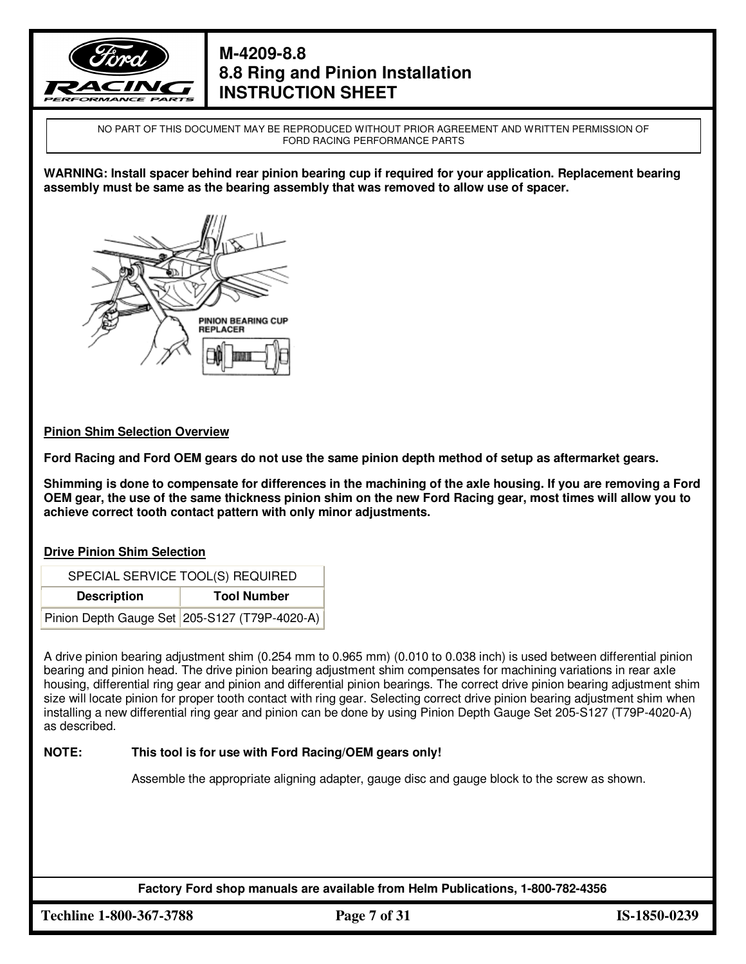

NO PART OF THIS DOCUMENT MAY BE REPRODUCED WITHOUT PRIOR AGREEMENT AND WRITTEN PERMISSION OF FORD RACING PERFORMANCE PARTS

**WARNING: Install spacer behind rear pinion bearing cup if required for your application. Replacement bearing assembly must be same as the bearing assembly that was removed to allow use of spacer.** 



#### **Pinion Shim Selection Overview**

**Ford Racing and Ford OEM gears do not use the same pinion depth method of setup as aftermarket gears.** 

**Shimming is done to compensate for differences in the machining of the axle housing. If you are removing a Ford OEM gear, the use of the same thickness pinion shim on the new Ford Racing gear, most times will allow you to achieve correct tooth contact pattern with only minor adjustments.** 

#### **Drive Pinion Shim Selection**

| SPECIAL SERVICE TOOL(S) REQUIRED |                                               |  |
|----------------------------------|-----------------------------------------------|--|
| <b>Description</b>               | <b>Tool Number</b>                            |  |
|                                  | Pinion Depth Gauge Set 205-S127 (T79P-4020-A) |  |

A drive pinion bearing adjustment shim (0.254 mm to 0.965 mm) (0.010 to 0.038 inch) is used between differential pinion bearing and pinion head. The drive pinion bearing adjustment shim compensates for machining variations in rear axle housing, differential ring gear and pinion and differential pinion bearings. The correct drive pinion bearing adjustment shim size will locate pinion for proper tooth contact with ring gear. Selecting correct drive pinion bearing adjustment shim when installing a new differential ring gear and pinion can be done by using Pinion Depth Gauge Set 205-S127 (T79P-4020-A) as described.

#### **NOTE: This tool is for use with Ford Racing/OEM gears only!**

Assemble the appropriate aligning adapter, gauge disc and gauge block to the screw as shown.

**Factory Ford shop manuals are available from Helm Publications, 1-800-782-4356**

**Techline 1-800-367-3788 Page 7 of 31 IS-1850-0239**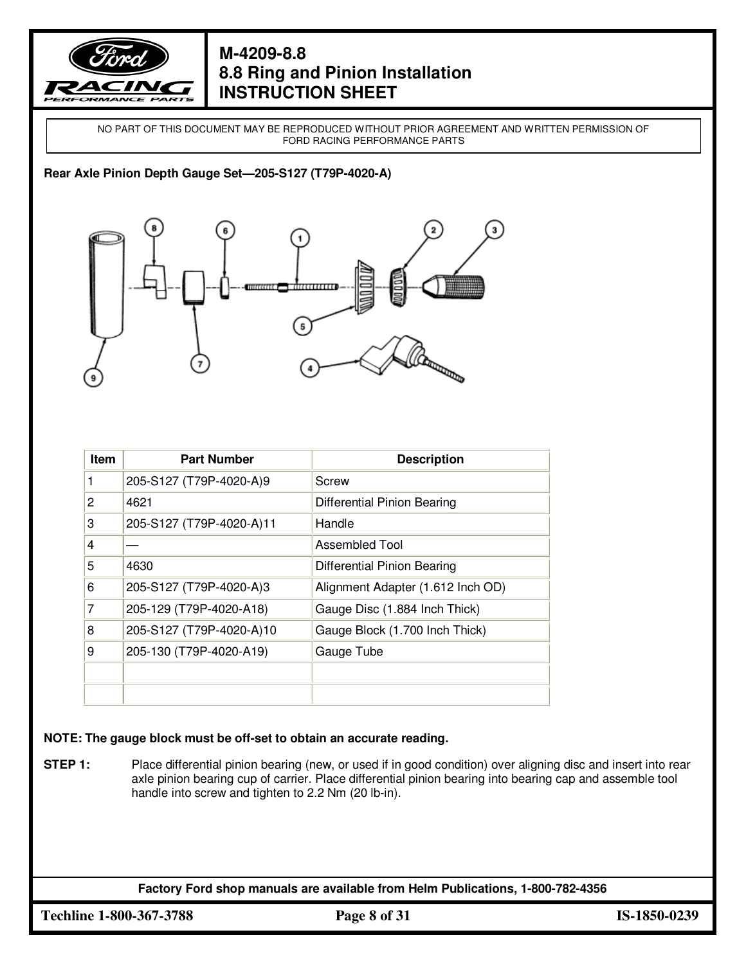

NO PART OF THIS DOCUMENT MAY BE REPRODUCED WITHOUT PRIOR AGREEMENT AND WRITTEN PERMISSION OF FORD RACING PERFORMANCE PARTS

#### **Rear Axle Pinion Depth Gauge Set—205-S127 (T79P-4020-A)**



| Item | <b>Part Number</b>       | <b>Description</b>                |
|------|--------------------------|-----------------------------------|
|      | 205-S127 (T79P-4020-A)9  | Screw                             |
| 2    | 4621                     | Differential Pinion Bearing       |
| 3    | 205-S127 (T79P-4020-A)11 | Handle                            |
| 4    |                          | Assembled Tool                    |
| 5    | 4630                     | Differential Pinion Bearing       |
| 6    | 205-S127 (T79P-4020-A)3  | Alignment Adapter (1.612 Inch OD) |
| 7    | 205-129 (T79P-4020-A18)  | Gauge Disc (1.884 Inch Thick)     |
| 8    | 205-S127 (T79P-4020-A)10 | Gauge Block (1.700 Inch Thick)    |
| 9    | 205-130 (T79P-4020-A19)  | Gauge Tube                        |
|      |                          |                                   |
|      |                          |                                   |

#### **NOTE: The gauge block must be off-set to obtain an accurate reading.**

**STEP 1:** Place differential pinion bearing (new, or used if in good condition) over aligning disc and insert into rear axle pinion bearing cup of carrier. Place differential pinion bearing into bearing cap and assemble tool handle into screw and tighten to 2.2 Nm (20 lb-in).

**Factory Ford shop manuals are available from Helm Publications, 1-800-782-4356**

**Techline 1-800-367-3788 Page 8 of 31 IS-1850-0239**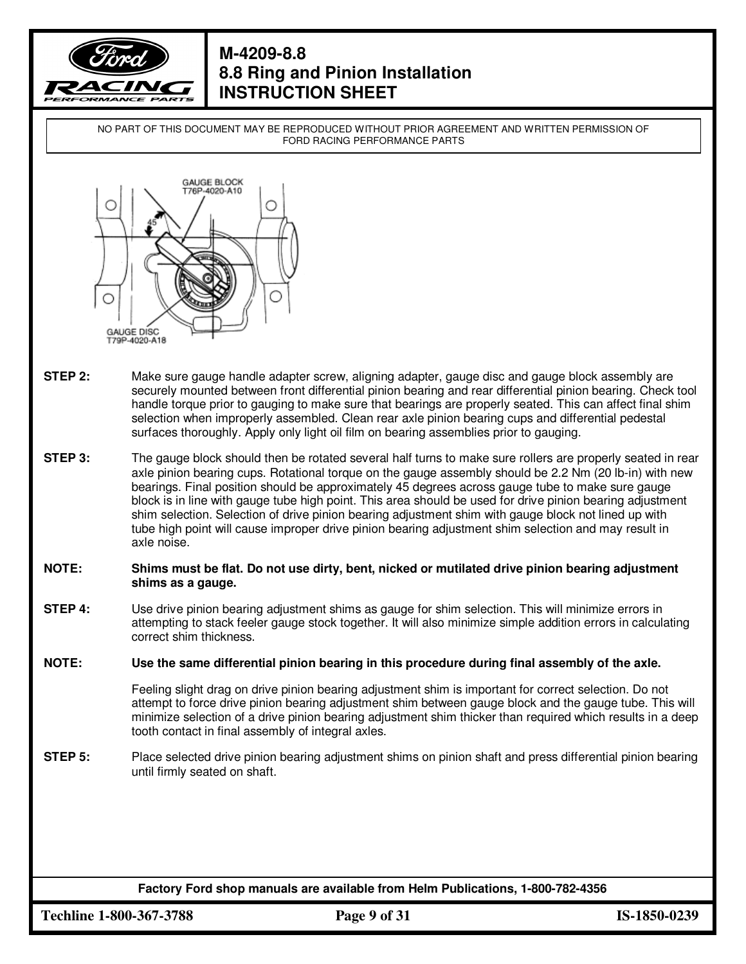

NO PART OF THIS DOCUMENT MAY BE REPRODUCED WITHOUT PRIOR AGREEMENT AND WRITTEN PERMISSION OF FORD RACING PERFORMANCE PARTS



- **STEP 2:** Make sure gauge handle adapter screw, aligning adapter, gauge disc and gauge block assembly are securely mounted between front differential pinion bearing and rear differential pinion bearing. Check tool handle torque prior to gauging to make sure that bearings are properly seated. This can affect final shim selection when improperly assembled. Clean rear axle pinion bearing cups and differential pedestal surfaces thoroughly. Apply only light oil film on bearing assemblies prior to gauging.
- **STEP 3:** The gauge block should then be rotated several half turns to make sure rollers are properly seated in rear axle pinion bearing cups. Rotational torque on the gauge assembly should be 2.2 Nm (20 lb-in) with new bearings. Final position should be approximately 45 degrees across gauge tube to make sure gauge block is in line with gauge tube high point. This area should be used for drive pinion bearing adjustment shim selection. Selection of drive pinion bearing adjustment shim with gauge block not lined up with tube high point will cause improper drive pinion bearing adjustment shim selection and may result in axle noise.

#### **NOTE: Shims must be flat. Do not use dirty, bent, nicked or mutilated drive pinion bearing adjustment shims as a gauge.**

**STEP 4:** Use drive pinion bearing adjustment shims as gauge for shim selection. This will minimize errors in attempting to stack feeler gauge stock together. It will also minimize simple addition errors in calculating correct shim thickness.

**NOTE: Use the same differential pinion bearing in this procedure during final assembly of the axle.** 

Feeling slight drag on drive pinion bearing adjustment shim is important for correct selection. Do not attempt to force drive pinion bearing adjustment shim between gauge block and the gauge tube. This will minimize selection of a drive pinion bearing adjustment shim thicker than required which results in a deep tooth contact in final assembly of integral axles.

**STEP 5:** Place selected drive pinion bearing adjustment shims on pinion shaft and press differential pinion bearing until firmly seated on shaft.

**Factory Ford shop manuals are available from Helm Publications, 1-800-782-4356**

**Techline 1-800-367-3788 Page 9 of 31 IS-1850-0239**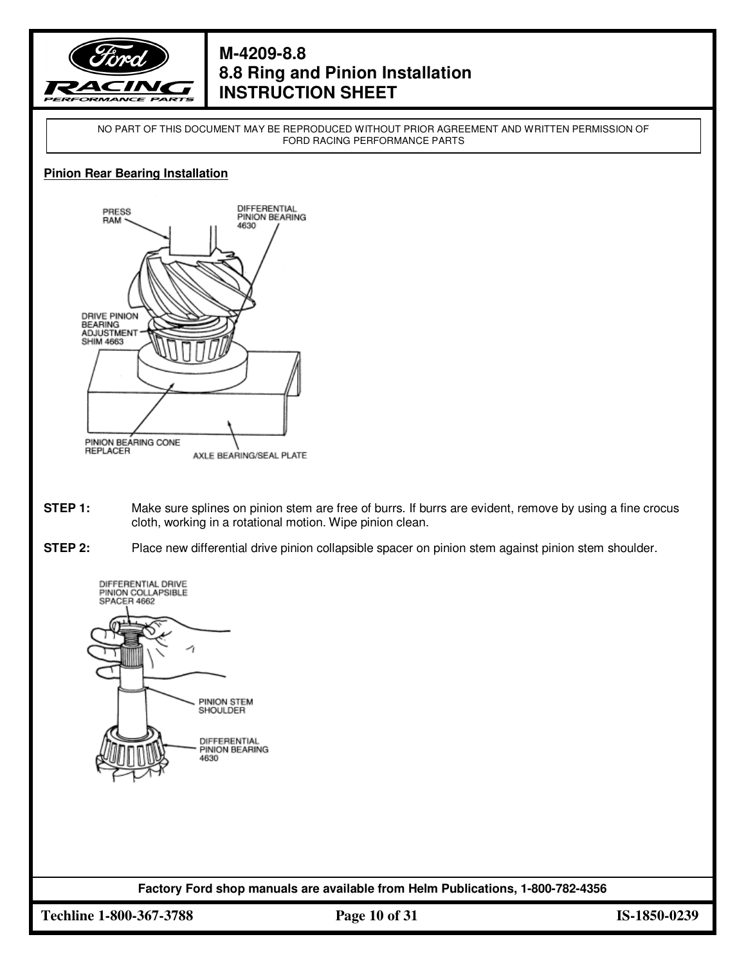

NO PART OF THIS DOCUMENT MAY BE REPRODUCED WITHOUT PRIOR AGREEMENT AND WRITTEN PERMISSION OF FORD RACING PERFORMANCE PARTS

#### **Pinion Rear Bearing Installation**



- **STEP 1:** Make sure splines on pinion stem are free of burrs. If burrs are evident, remove by using a fine crocus cloth, working in a rotational motion. Wipe pinion clean.
- **STEP 2:** Place new differential drive pinion collapsible spacer on pinion stem against pinion stem shoulder.



**Factory Ford shop manuals are available from Helm Publications, 1-800-782-4356**

**Techline 1-800-367-3788 Page 10 of 31 IS-1850-0239**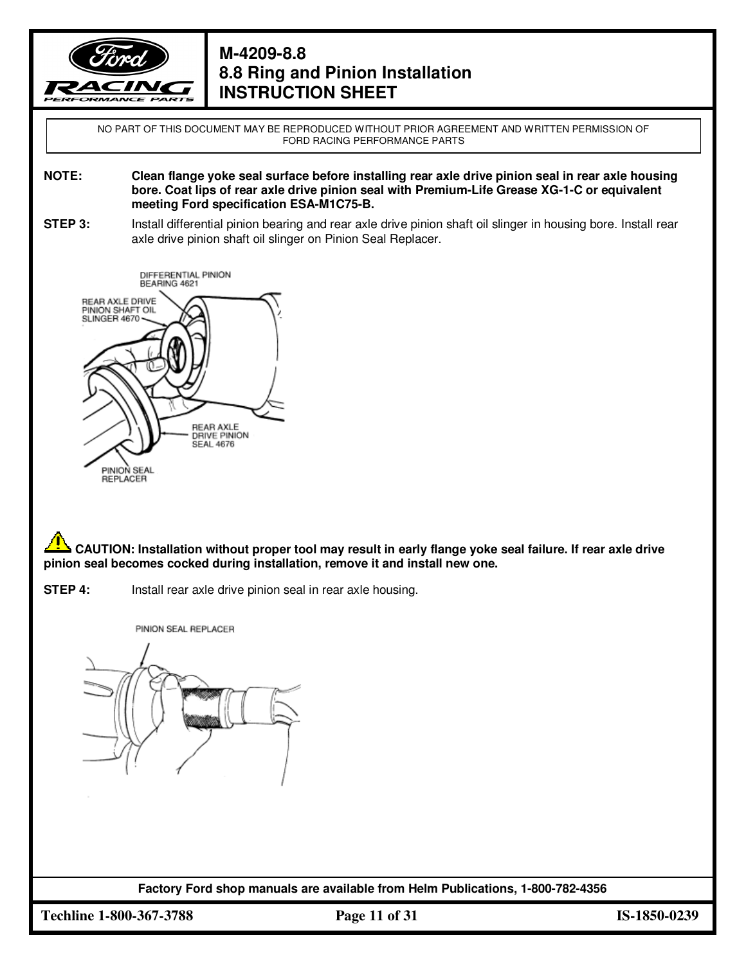

NO PART OF THIS DOCUMENT MAY BE REPRODUCED WITHOUT PRIOR AGREEMENT AND WRITTEN PERMISSION OF FORD RACING PERFORMANCE PARTS

**NOTE: Clean flange yoke seal surface before installing rear axle drive pinion seal in rear axle housing bore. Coat lips of rear axle drive pinion seal with Premium-Life Grease XG-1-C or equivalent meeting Ford specification ESA-M1C75-B.** 

**STEP 3:** Install differential pinion bearing and rear axle drive pinion shaft oil slinger in housing bore. Install rear axle drive pinion shaft oil slinger on Pinion Seal Replacer.



**CAUTION: Installation without proper tool may result in early flange yoke seal failure. If rear axle drive pinion seal becomes cocked during installation, remove it and install new one.**

**STEP 4:** Install rear axle drive pinion seal in rear axle housing.

PINION SEAL REPLACER



**Factory Ford shop manuals are available from Helm Publications, 1-800-782-4356**

**Techline 1-800-367-3788 Page 11 of 31 IS-1850-0239**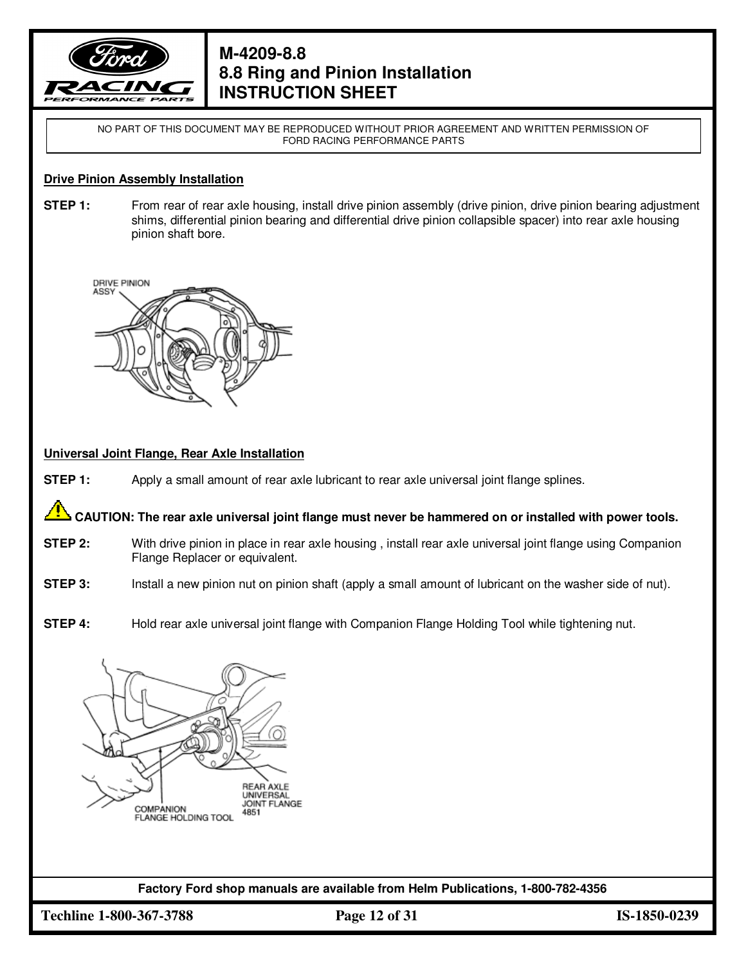

NO PART OF THIS DOCUMENT MAY BE REPRODUCED WITHOUT PRIOR AGREEMENT AND WRITTEN PERMISSION OF FORD RACING PERFORMANCE PARTS

#### **Drive Pinion Assembly Installation**

**STEP 1:** From rear of rear axle housing, install drive pinion assembly (drive pinion, drive pinion bearing adjustment shims, differential pinion bearing and differential drive pinion collapsible spacer) into rear axle housing pinion shaft bore.



#### **Universal Joint Flange, Rear Axle Installation**

**STEP 1:** Apply a small amount of rear axle lubricant to rear axle universal joint flange splines.

 **CAUTION: The rear axle universal joint flange must never be hammered on or installed with power tools.** 

- **STEP 2:** With drive pinion in place in rear axle housing , install rear axle universal joint flange using Companion Flange Replacer or equivalent.
- **STEP 3:** Install a new pinion nut on pinion shaft (apply a small amount of lubricant on the washer side of nut).
- **STEP 4:** Hold rear axle universal joint flange with Companion Flange Holding Tool while tightening nut.



**Factory Ford shop manuals are available from Helm Publications, 1-800-782-4356**

**Techline 1-800-367-3788 Page 12 of 31 IS-1850-0239**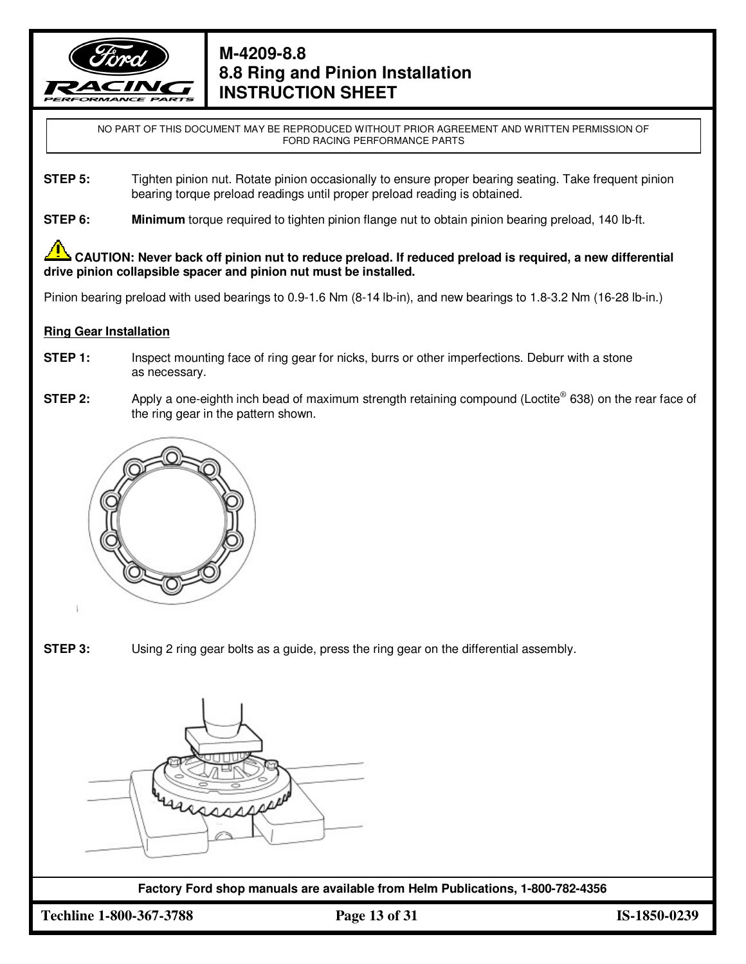

NO PART OF THIS DOCUMENT MAY BE REPRODUCED WITHOUT PRIOR AGREEMENT AND WRITTEN PERMISSION OF FORD RACING PERFORMANCE PARTS

- **STEP 5:** Tighten pinion nut. Rotate pinion occasionally to ensure proper bearing seating. Take frequent pinion bearing torque preload readings until proper preload reading is obtained.
- **STEP 6: Minimum** torque required to tighten pinion flange nut to obtain pinion bearing preload, 140 lb-ft.

 **CAUTION: Never back off pinion nut to reduce preload. If reduced preload is required, a new differential drive pinion collapsible spacer and pinion nut must be installed.** 

Pinion bearing preload with used bearings to 0.9-1.6 Nm (8-14 lb-in), and new bearings to 1.8-3.2 Nm (16-28 lb-in.)

#### **Ring Gear Installation**

- **STEP 1:** Inspect mounting face of ring gear for nicks, burrs or other imperfections. Deburr with a stone as necessary.
- **STEP 2:** Apply a one-eighth inch bead of maximum strength retaining compound (Loctite® 638) on the rear face of the ring gear in the pattern shown.



**STEP 3:** Using 2 ring gear bolts as a guide, press the ring gear on the differential assembly.



**Factory Ford shop manuals are available from Helm Publications, 1-800-782-4356**

**Techline 1-800-367-3788 Page 13 of 31 IS-1850-0239**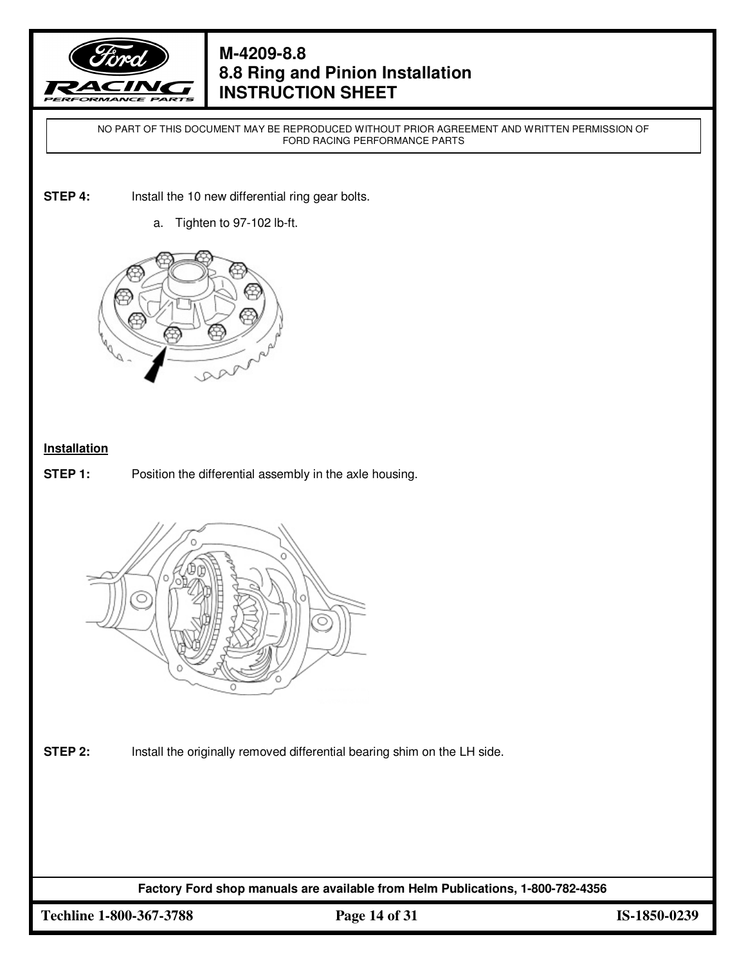

NO PART OF THIS DOCUMENT MAY BE REPRODUCED WITHOUT PRIOR AGREEMENT AND WRITTEN PERMISSION OF FORD RACING PERFORMANCE PARTS

- **STEP 4:** Install the 10 new differential ring gear bolts.
	- a. Tighten to 97-102 lb-ft.



#### **Installation**

**STEP 1:** Position the differential assembly in the axle housing.



**STEP 2:** Install the originally removed differential bearing shim on the LH side.

**Factory Ford shop manuals are available from Helm Publications, 1-800-782-4356**

**Techline 1-800-367-3788 Page 14 of 31 IS-1850-0239**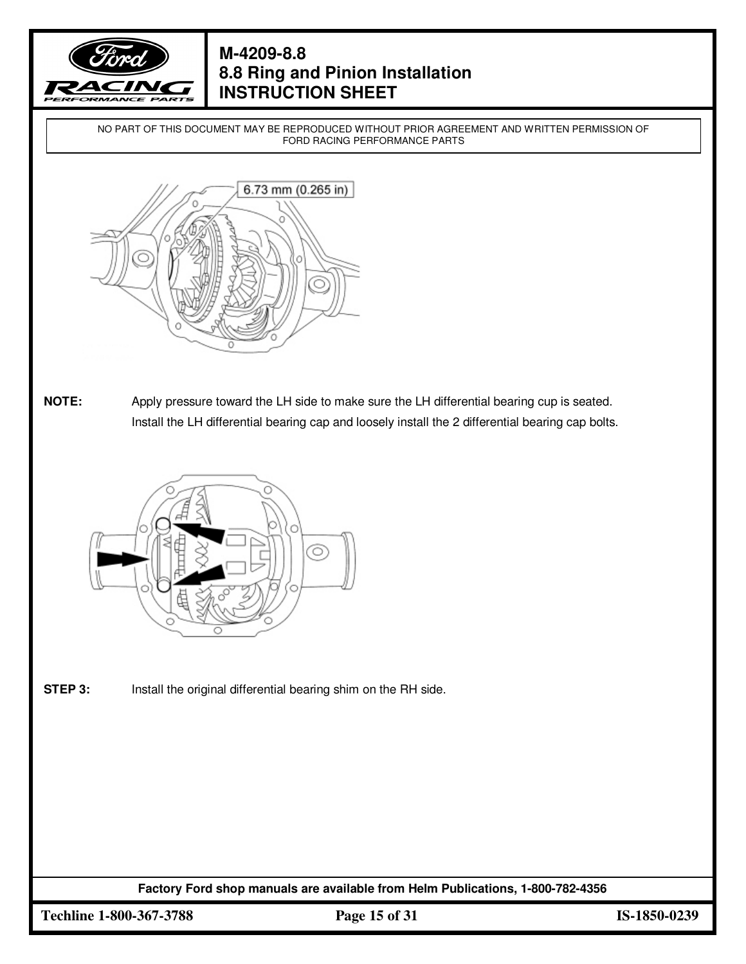

NO PART OF THIS DOCUMENT MAY BE REPRODUCED WITHOUT PRIOR AGREEMENT AND WRITTEN PERMISSION OF FORD RACING PERFORMANCE PARTS



**NOTE:** Apply pressure toward the LH side to make sure the LH differential bearing cup is seated. Install the LH differential bearing cap and loosely install the 2 differential bearing cap bolts.



**STEP 3:** Install the original differential bearing shim on the RH side.

**Factory Ford shop manuals are available from Helm Publications, 1-800-782-4356**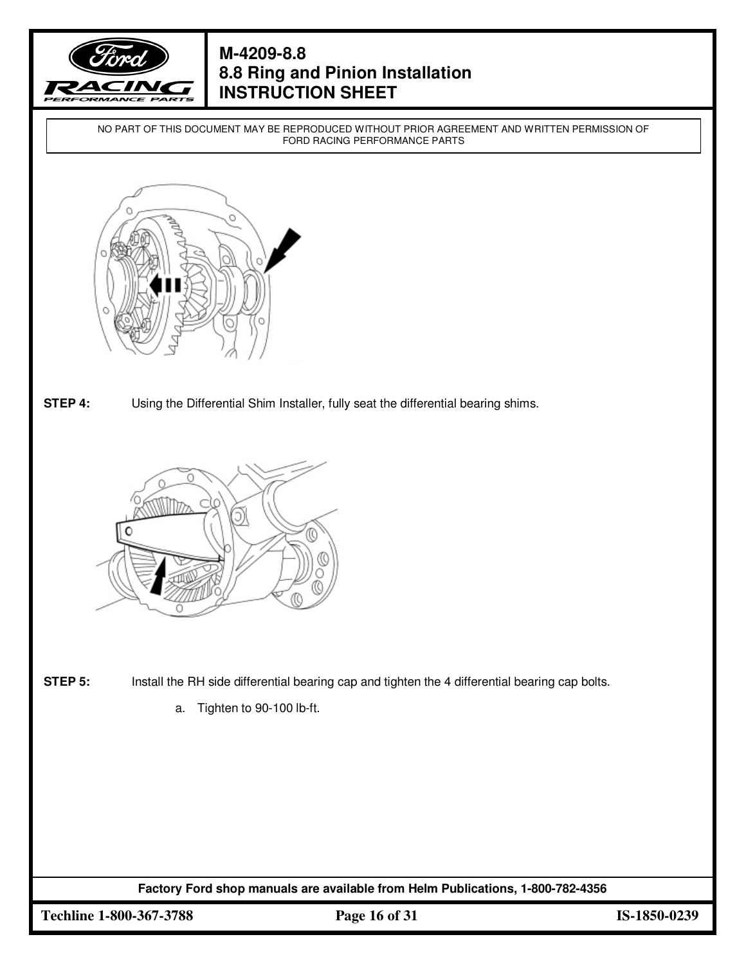

NO PART OF THIS DOCUMENT MAY BE REPRODUCED WITHOUT PRIOR AGREEMENT AND WRITTEN PERMISSION OF FORD RACING PERFORMANCE PARTS



**STEP 4:** Using the Differential Shim Installer, fully seat the differential bearing shims.



- **STEP 5:** Install the RH side differential bearing cap and tighten the 4 differential bearing cap bolts.
	- a. Tighten to 90-100 lb-ft.

**Factory Ford shop manuals are available from Helm Publications, 1-800-782-4356**

**Techline 1-800-367-3788 Page 16 of 31 IS-1850-0239**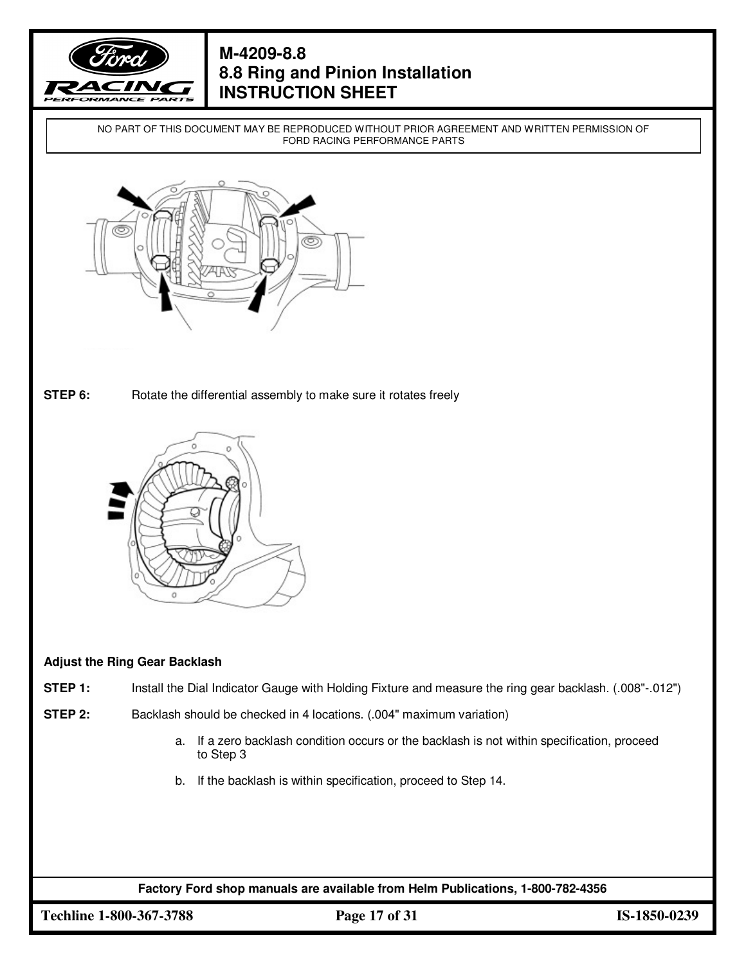

NO PART OF THIS DOCUMENT MAY BE REPRODUCED WITHOUT PRIOR AGREEMENT AND WRITTEN PERMISSION OF FORD RACING PERFORMANCE PARTS



**STEP 6:** Rotate the differential assembly to make sure it rotates freely



#### **Adjust the Ring Gear Backlash**

- **STEP 1:** Install the Dial Indicator Gauge with Holding Fixture and measure the ring gear backlash. (.008"-.012")
- **STEP 2:** Backlash should be checked in 4 locations. (.004" maximum variation)
	- a. If a zero backlash condition occurs or the backlash is not within specification, proceed to Step 3
	- b. If the backlash is within specification, proceed to Step 14.

**Factory Ford shop manuals are available from Helm Publications, 1-800-782-4356**

**Techline 1-800-367-3788 Page 17 of 31 IS-1850-0239**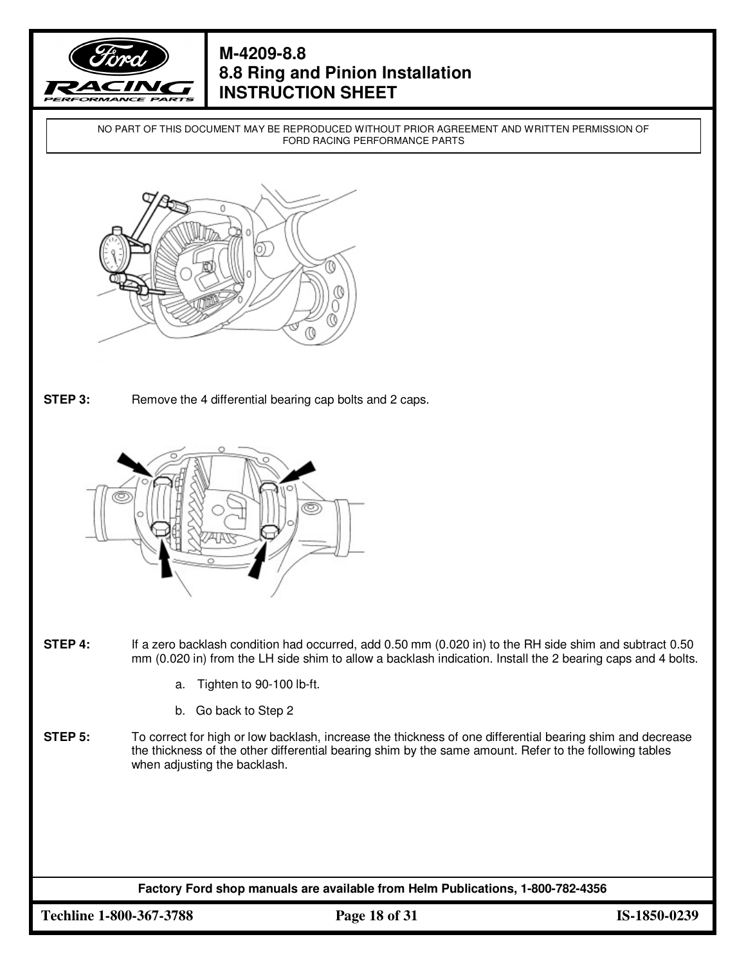

NO PART OF THIS DOCUMENT MAY BE REPRODUCED WITHOUT PRIOR AGREEMENT AND WRITTEN PERMISSION OF FORD RACING PERFORMANCE PARTS



**STEP 3:** Remove the 4 differential bearing cap bolts and 2 caps.



- **STEP 4:** If a zero backlash condition had occurred, add 0.50 mm (0.020 in) to the RH side shim and subtract 0.50 mm (0.020 in) from the LH side shim to allow a backlash indication. Install the 2 bearing caps and 4 bolts.
	- a. Tighten to 90-100 lb-ft.
	- b. Go back to Step 2
- **STEP 5:** To correct for high or low backlash, increase the thickness of one differential bearing shim and decrease the thickness of the other differential bearing shim by the same amount. Refer to the following tables when adjusting the backlash.

**Factory Ford shop manuals are available from Helm Publications, 1-800-782-4356**

**Techline 1-800-367-3788 Page 18 of 31 IS-1850-0239**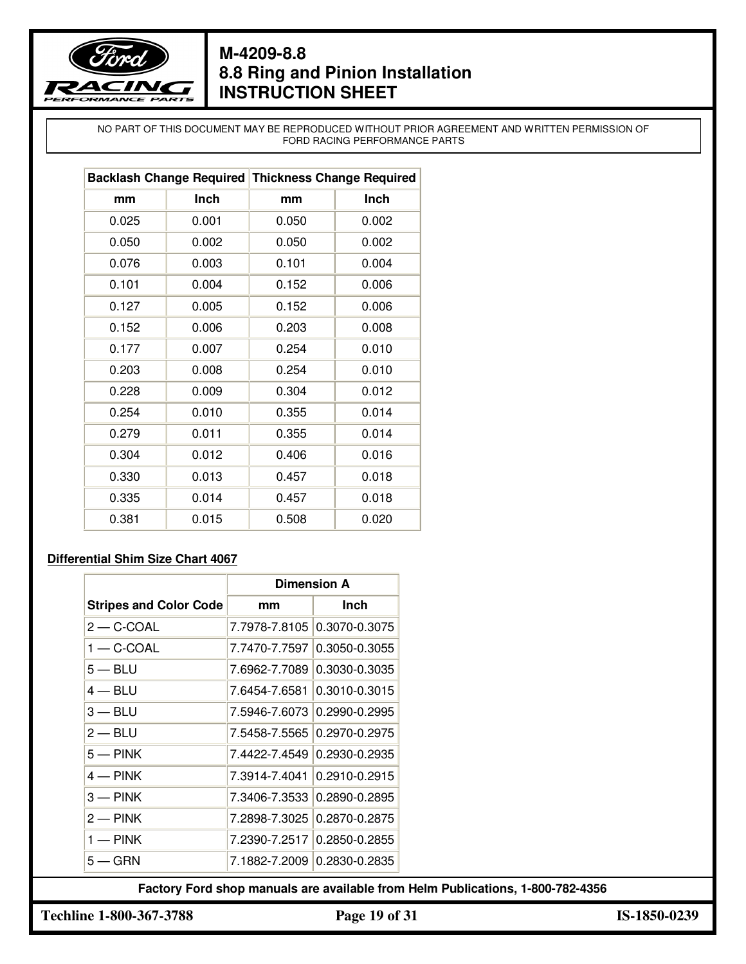

NO PART OF THIS DOCUMENT MAY BE REPRODUCED WITHOUT PRIOR AGREEMENT AND WRITTEN PERMISSION OF FORD RACING PERFORMANCE PARTS

|       |       | Backlash Change Required Thickness Change Required |       |  |
|-------|-------|----------------------------------------------------|-------|--|
| mm    | Inch  | mm                                                 | Inch  |  |
| 0.025 | 0.001 | 0.050                                              | 0.002 |  |
| 0.050 | 0.002 | 0.050                                              | 0.002 |  |
| 0.076 | 0.003 | 0.101                                              | 0.004 |  |
| 0.101 | 0.004 | 0.152                                              | 0.006 |  |
| 0.127 | 0.005 | 0.152                                              | 0.006 |  |
| 0.152 | 0.006 | 0.203                                              | 0.008 |  |
| 0.177 | 0.007 | 0.254                                              | 0.010 |  |
| 0.203 | 0.008 | 0.254                                              | 0.010 |  |
| 0.228 | 0.009 | 0.304                                              | 0.012 |  |
| 0.254 | 0.010 | 0.355                                              | 0.014 |  |
| 0.279 | 0.011 | 0.355                                              | 0.014 |  |
| 0.304 | 0.012 | 0.406                                              | 0.016 |  |
| 0.330 | 0.013 | 0.457                                              | 0.018 |  |
| 0.335 | 0.014 | 0.457                                              | 0.018 |  |
| 0.381 | 0.015 | 0.508                                              | 0.020 |  |

#### **Differential Shim Size Chart 4067**

|                               | <b>Dimension A</b> |                             |
|-------------------------------|--------------------|-----------------------------|
| <b>Stripes and Color Code</b> | mm                 | <b>Inch</b>                 |
| $2 - C$ -COAL                 |                    | 7.7978-7.8105 0.3070-0.3075 |
| $1 - C$ -COAL                 |                    | 7.7470-7.7597 0.3050-0.3055 |
| $5 - BLU$                     |                    | 7.6962-7.7089 0.3030-0.3035 |
| $4 - BLU$                     |                    | 7.6454-7.6581 0.3010-0.3015 |
| $3 - BLU$                     |                    | 7.5946-7.6073 0.2990-0.2995 |
| $2 - BLU$                     |                    | 7.5458-7.5565 0.2970-0.2975 |
| $5 -$ PINK                    |                    | 7.4422-7.4549 0.2930-0.2935 |
| $4 - PINK$                    |                    | 7.3914-7.4041 0.2910-0.2915 |
| $3 -$ PINK                    |                    | 7.3406-7.3533 0.2890-0.2895 |
| $2 - PINK$                    |                    | 7.2898-7.3025 0.2870-0.2875 |
| $1 - PINK$                    |                    | 7.2390-7.2517 0.2850-0.2855 |
| $5 -$ GRN                     |                    | 7.1882-7.2009 0.2830-0.2835 |

**Techline 1-800-367-3788 Page 19 of 31 IS-1850-0239**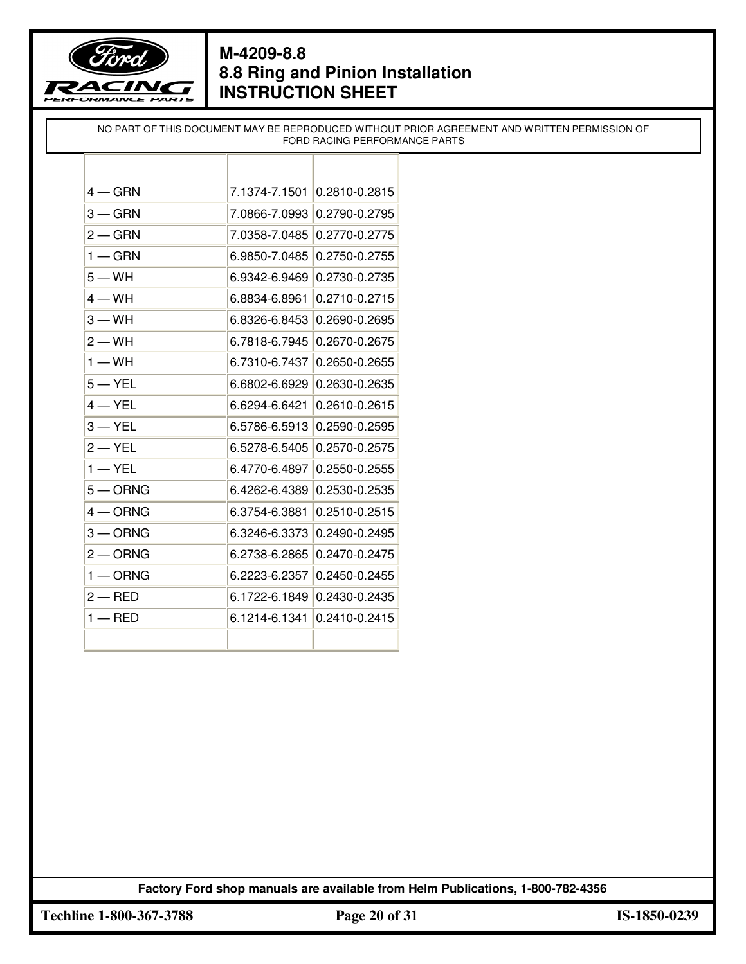

NO PART OF THIS DOCUMENT MAY BE REPRODUCED WITHOUT PRIOR AGREEMENT AND WRITTEN PERMISSION OF FORD RACING PERFORMANCE PARTS

| $4 - GRN$    | 7.1374-7.1501 | 0.2810-0.2815 |
|--------------|---------------|---------------|
| $3 - GRN$    | 7.0866-7.0993 | 0.2790-0.2795 |
| $2 - GRN$    | 7.0358-7.0485 | 0.2770-0.2775 |
| $1 - GRN$    | 6.9850-7.0485 | 0.2750-0.2755 |
| $5 - WH$     | 6.9342-6.9469 | 0.2730-0.2735 |
| $4 - WH$     | 6.8834-6.8961 | 0.2710-0.2715 |
| $3 - WH$     | 6.8326-6.8453 | 0.2690-0.2695 |
| $2 - WH$     | 6.7818-6.7945 | 0.2670-0.2675 |
| $1 - WH$     | 6.7310-6.7437 | 0.2650-0.2655 |
| $5 - YEL$    | 6.6802-6.6929 | 0.2630-0.2635 |
| 4 — YEL      | 6.6294-6.6421 | 0.2610-0.2615 |
| $3 - YEL$    | 6.5786-6.5913 | 0.2590-0.2595 |
| $2 - YEL$    | 6.5278-6.5405 | 0.2570-0.2575 |
| $1 - YEL$    | 6.4770-6.4897 | 0.2550-0.2555 |
| $5 -$ ORNG   | 6.4262-6.4389 | 0.2530-0.2535 |
| $4 - ORNG$   | 6.3754-6.3881 | 0.2510-0.2515 |
| $3 - ORNG$   | 6.3246-6.3373 | 0.2490-0.2495 |
| $2$ $-$ ORNG | 6.2738-6.2865 | 0.2470-0.2475 |
| $1 -$ ORNG   | 6.2223-6.2357 | 0.2450-0.2455 |
| $2 - RED$    | 6.1722-6.1849 | 0.2430-0.2435 |
| $1 -$ RED    | 6.1214-6.1341 | 0.2410-0.2415 |
|              |               |               |

**Factory Ford shop manuals are available from Helm Publications, 1-800-782-4356**

**Techline 1-800-367-3788 Page 20 of 31 IS-1850-0239**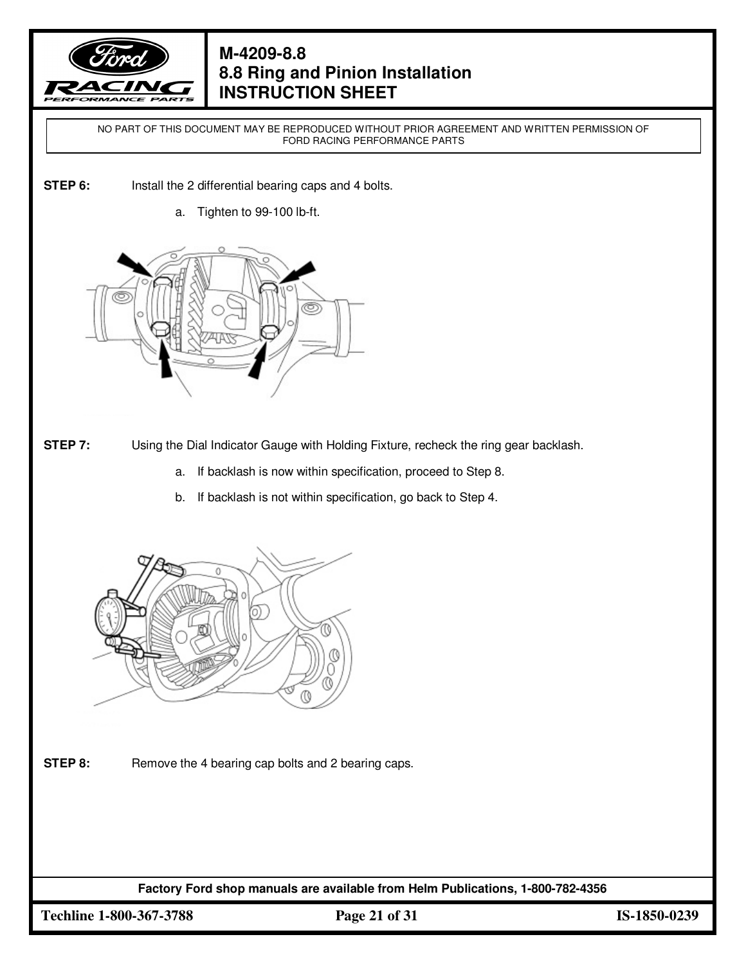

NO PART OF THIS DOCUMENT MAY BE REPRODUCED WITHOUT PRIOR AGREEMENT AND WRITTEN PERMISSION OF FORD RACING PERFORMANCE PARTS

- **STEP 6:** Install the 2 differential bearing caps and 4 bolts.
	- a. Tighten to 99-100 lb-ft.



**STEP 7:** Using the Dial Indicator Gauge with Holding Fixture, recheck the ring gear backlash.

- a. If backlash is now within specification, proceed to Step 8.
- b. If backlash is not within specification, go back to Step 4.



**STEP 8:** Remove the 4 bearing cap bolts and 2 bearing caps.

**Factory Ford shop manuals are available from Helm Publications, 1-800-782-4356**

**Techline 1-800-367-3788 Page 21 of 31 IS-1850-0239**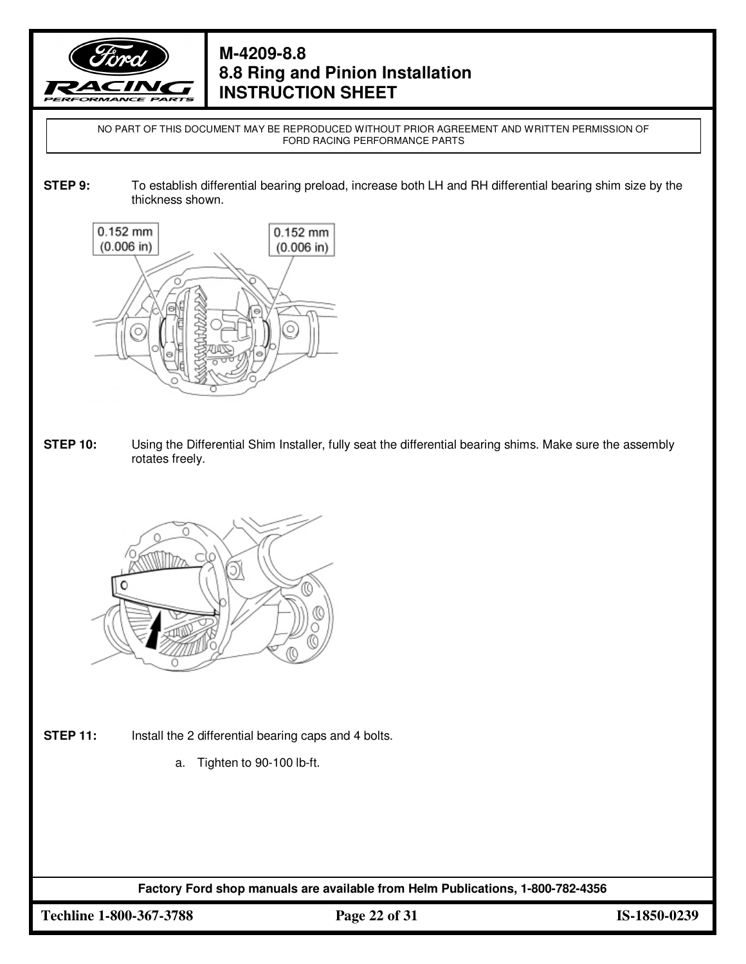

NO PART OF THIS DOCUMENT MAY BE REPRODUCED WITHOUT PRIOR AGREEMENT AND WRITTEN PERMISSION OF FORD RACING PERFORMANCE PARTS

**STEP 9:** To establish differential bearing preload, increase both LH and RH differential bearing shim size by the thickness shown.



**STEP 10:** Using the Differential Shim Installer, fully seat the differential bearing shims. Make sure the assembly rotates freely.



- **STEP 11:** Install the 2 differential bearing caps and 4 bolts.
	- a. Tighten to 90-100 lb-ft.

**Factory Ford shop manuals are available from Helm Publications, 1-800-782-4356**

**Techline 1-800-367-3788 Page 22 of 31 IS-1850-0239**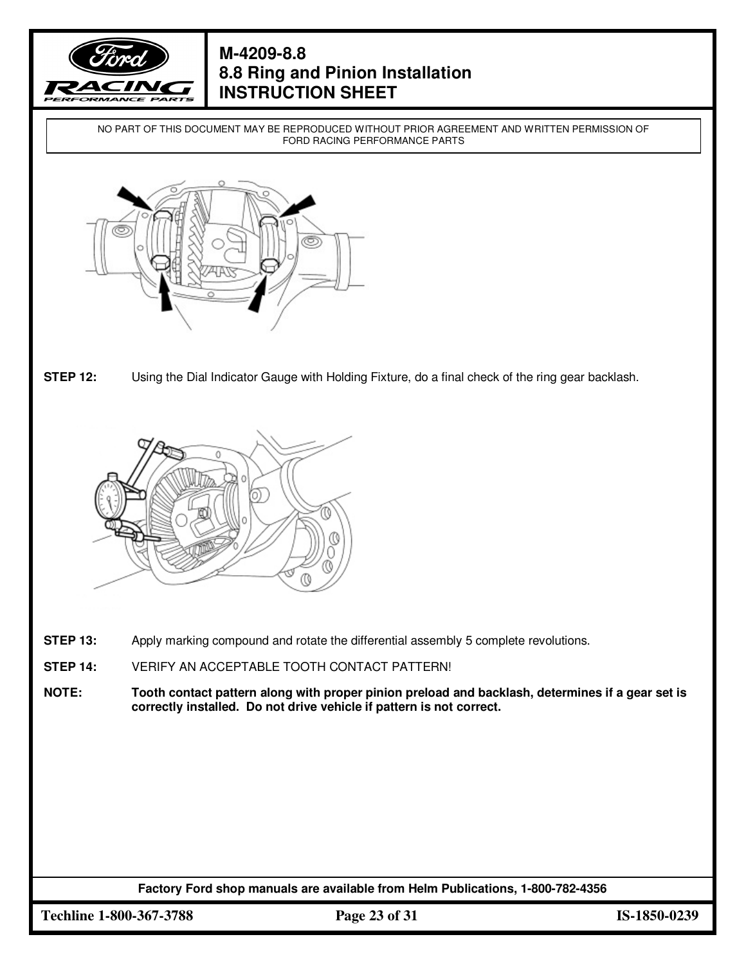

NO PART OF THIS DOCUMENT MAY BE REPRODUCED WITHOUT PRIOR AGREEMENT AND WRITTEN PERMISSION OF FORD RACING PERFORMANCE PARTS



**STEP 12:** Using the Dial Indicator Gauge with Holding Fixture, do a final check of the ring gear backlash.



- **STEP 13:** Apply marking compound and rotate the differential assembly 5 complete revolutions.
- **STEP 14:** VERIFY AN ACCEPTABLE TOOTH CONTACT PATTERN!
- **NOTE: Tooth contact pattern along with proper pinion preload and backlash, determines if a gear set is correctly installed. Do not drive vehicle if pattern is not correct.**

**Factory Ford shop manuals are available from Helm Publications, 1-800-782-4356**

**Techline 1-800-367-3788 Page 23 of 31 IS-1850-0239**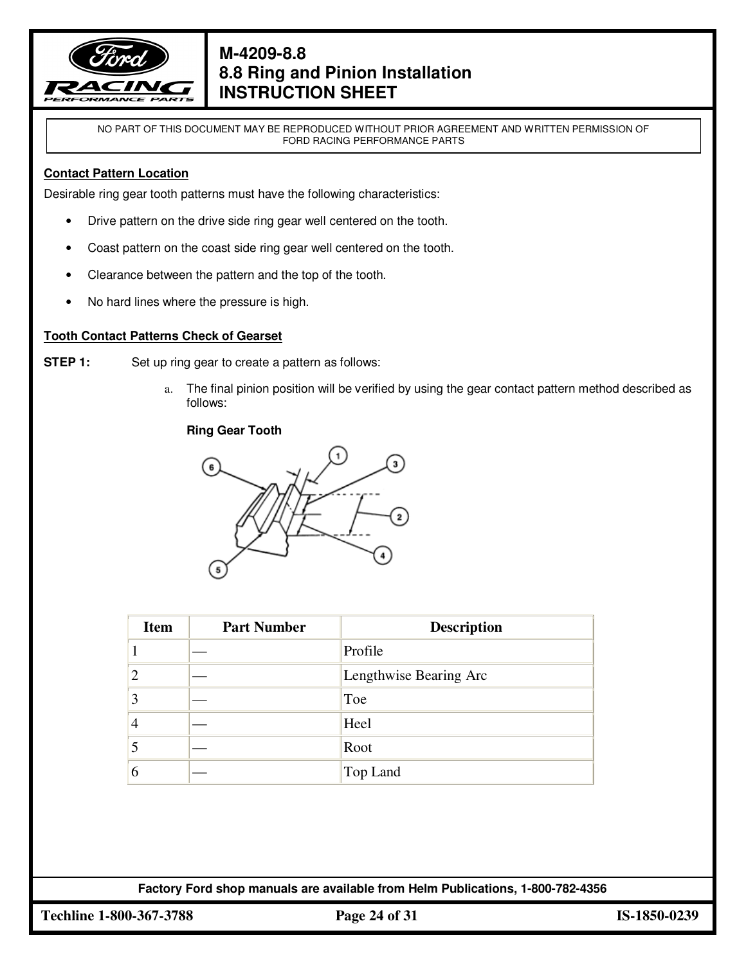

NO PART OF THIS DOCUMENT MAY BE REPRODUCED WITHOUT PRIOR AGREEMENT AND WRITTEN PERMISSION OF FORD RACING PERFORMANCE PARTS

#### **Contact Pattern Location**

Desirable ring gear tooth patterns must have the following characteristics:

- Drive pattern on the drive side ring gear well centered on the tooth.
- Coast pattern on the coast side ring gear well centered on the tooth.
- Clearance between the pattern and the top of the tooth.
- No hard lines where the pressure is high.

#### **Tooth Contact Patterns Check of Gearset**

**STEP 1:** Set up ring gear to create a pattern as follows:

a. The final pinion position will be verified by using the gear contact pattern method described as follows:

#### **Ring Gear Tooth**



| <b>Item</b>    | <b>Part Number</b> | <b>Description</b>     |
|----------------|--------------------|------------------------|
|                |                    | Profile                |
| $\overline{2}$ |                    | Lengthwise Bearing Arc |
| 3              |                    | Toe                    |
| $\overline{4}$ |                    | Heel                   |
| 5              |                    | Root                   |
| 6              |                    | Top Land               |

**Factory Ford shop manuals are available from Helm Publications, 1-800-782-4356**

**Techline 1-800-367-3788 Page 24 of 31 IS-1850-0239**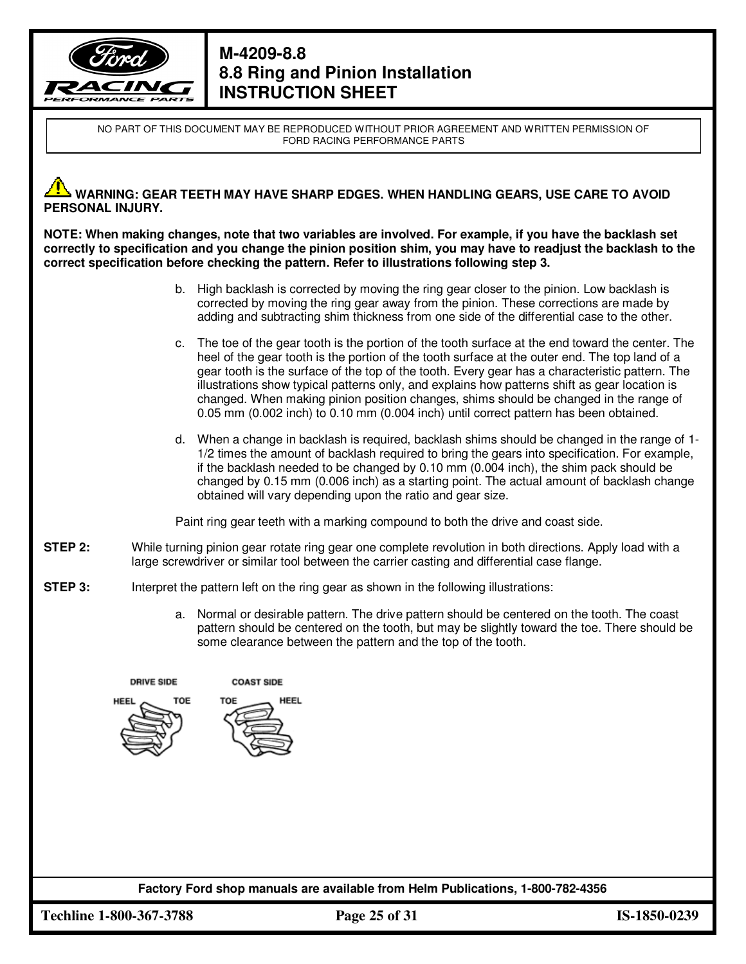

NO PART OF THIS DOCUMENT MAY BE REPRODUCED WITHOUT PRIOR AGREEMENT AND WRITTEN PERMISSION OF FORD RACING PERFORMANCE PARTS

#### **WARNING: GEAR TEETH MAY HAVE SHARP EDGES. WHEN HANDLING GEARS, USE CARE TO AVOID PERSONAL INJURY.**

**NOTE: When making changes, note that two variables are involved. For example, if you have the backlash set correctly to specification and you change the pinion position shim, you may have to readjust the backlash to the correct specification before checking the pattern. Refer to illustrations following step 3.** 

- b. High backlash is corrected by moving the ring gear closer to the pinion. Low backlash is corrected by moving the ring gear away from the pinion. These corrections are made by adding and subtracting shim thickness from one side of the differential case to the other.
- c. The toe of the gear tooth is the portion of the tooth surface at the end toward the center. The heel of the gear tooth is the portion of the tooth surface at the outer end. The top land of a gear tooth is the surface of the top of the tooth. Every gear has a characteristic pattern. The illustrations show typical patterns only, and explains how patterns shift as gear location is changed. When making pinion position changes, shims should be changed in the range of 0.05 mm (0.002 inch) to 0.10 mm (0.004 inch) until correct pattern has been obtained.
- d. When a change in backlash is required, backlash shims should be changed in the range of 1- 1/2 times the amount of backlash required to bring the gears into specification. For example, if the backlash needed to be changed by 0.10 mm (0.004 inch), the shim pack should be changed by 0.15 mm (0.006 inch) as a starting point. The actual amount of backlash change obtained will vary depending upon the ratio and gear size.

Paint ring gear teeth with a marking compound to both the drive and coast side.

- **STEP 2:** While turning pinion gear rotate ring gear one complete revolution in both directions. Apply load with a large screwdriver or similar tool between the carrier casting and differential case flange.
- **STEP 3:** Interpret the pattern left on the ring gear as shown in the following illustrations:
	- a. Normal or desirable pattern. The drive pattern should be centered on the tooth. The coast pattern should be centered on the tooth, but may be slightly toward the toe. There should be some clearance between the pattern and the top of the tooth.

**DRIVE SIDE** 





**Factory Ford shop manuals are available from Helm Publications, 1-800-782-4356**

**Techline 1-800-367-3788 Page 25 of 31 IS-1850-0239**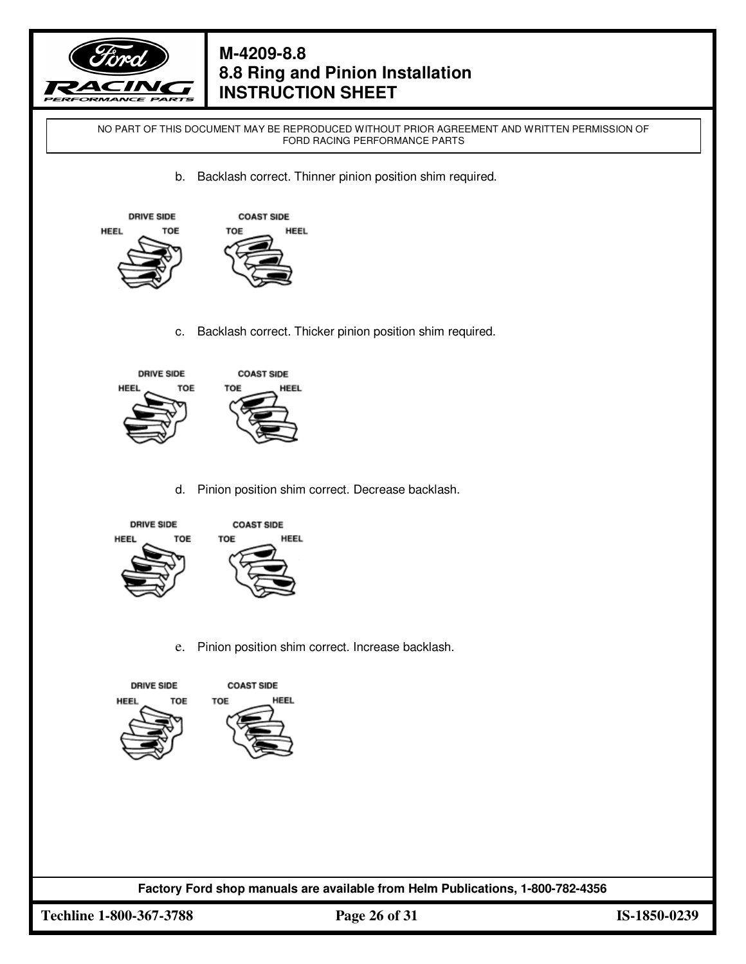

NO PART OF THIS DOCUMENT MAY BE REPRODUCED WITHOUT PRIOR AGREEMENT AND WRITTEN PERMISSION OF FORD RACING PERFORMANCE PARTS

b. Backlash correct. Thinner pinion position shim required.





c. Backlash correct. Thicker pinion position shim required.



d. Pinion position shim correct. Decrease backlash.



e. Pinion position shim correct. Increase backlash.





**Factory Ford shop manuals are available from Helm Publications, 1-800-782-4356**

**Techline 1-800-367-3788 Page 26 of 31 IS-1850-0239**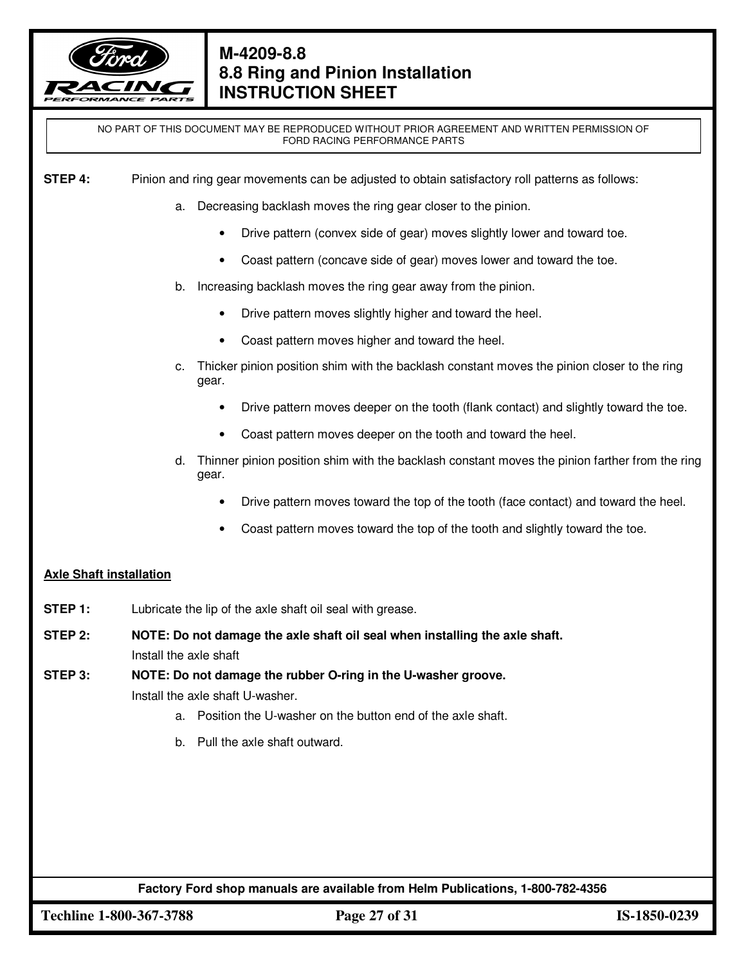

NO PART OF THIS DOCUMENT MAY BE REPRODUCED WITHOUT PRIOR AGREEMENT AND WRITTEN PERMISSION OF FORD RACING PERFORMANCE PARTS

**STEP 4:** Pinion and ring gear movements can be adjusted to obtain satisfactory roll patterns as follows:

- a. Decreasing backlash moves the ring gear closer to the pinion.
	- Drive pattern (convex side of gear) moves slightly lower and toward toe.
	- Coast pattern (concave side of gear) moves lower and toward the toe.
- b. Increasing backlash moves the ring gear away from the pinion.
	- Drive pattern moves slightly higher and toward the heel.
	- Coast pattern moves higher and toward the heel.
- c. Thicker pinion position shim with the backlash constant moves the pinion closer to the ring gear.
	- Drive pattern moves deeper on the tooth (flank contact) and slightly toward the toe.
	- Coast pattern moves deeper on the tooth and toward the heel.
- d. Thinner pinion position shim with the backlash constant moves the pinion farther from the ring gear.
	- Drive pattern moves toward the top of the tooth (face contact) and toward the heel.
	- Coast pattern moves toward the top of the tooth and slightly toward the toe.

#### **Axle Shaft installation**

- **STEP 1:** Lubricate the lip of the axle shaft oil seal with grease.
- **STEP 2: NOTE: Do not damage the axle shaft oil seal when installing the axle shaft.** Install the axle shaft
- **STEP 3: NOTE: Do not damage the rubber O-ring in the U-washer groove.** Install the axle shaft U-washer.
	- a. Position the U-washer on the button end of the axle shaft.
	- b. Pull the axle shaft outward.

**Factory Ford shop manuals are available from Helm Publications, 1-800-782-4356**

**Techline 1-800-367-3788 Page 27 of 31 IS-1850-0239**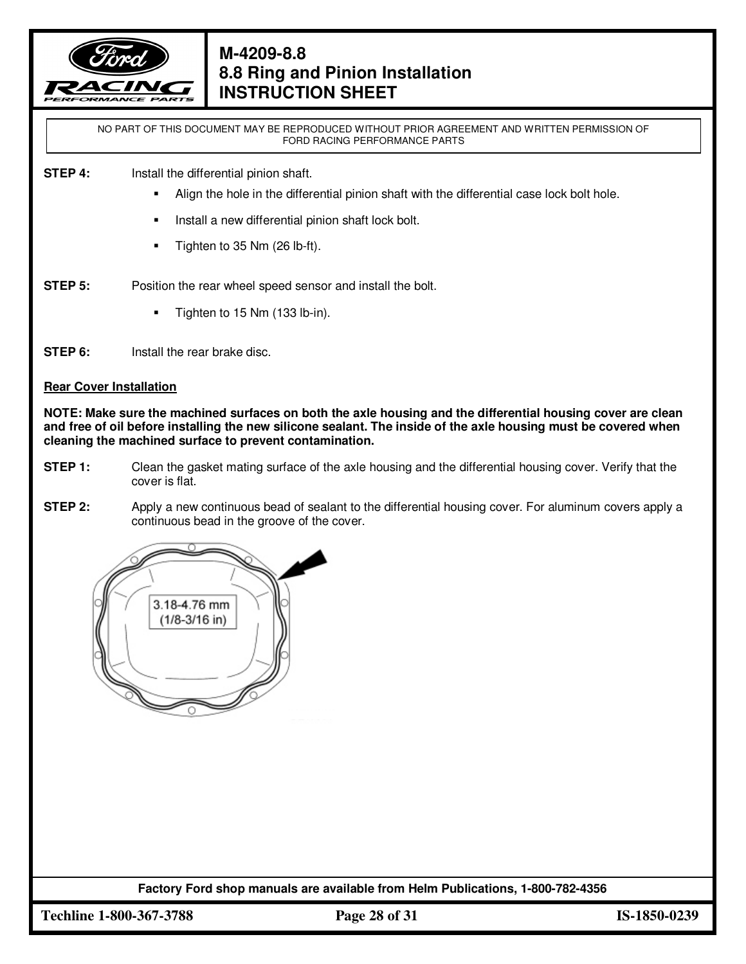

NO PART OF THIS DOCUMENT MAY BE REPRODUCED WITHOUT PRIOR AGREEMENT AND WRITTEN PERMISSION OF FORD RACING PERFORMANCE PARTS

#### **STEP 4:** Install the differential pinion shaft.

- Align the hole in the differential pinion shaft with the differential case lock bolt hole.
- Install a new differential pinion shaft lock bolt.
- **Tighten to 35 Nm (26 lb-ft).**
- **STEP 5:** Position the rear wheel speed sensor and install the bolt.
	- Tighten to 15 Nm (133 lb-in).
- **STEP 6:** Install the rear brake disc.

#### **Rear Cover Installation**

**NOTE: Make sure the machined surfaces on both the axle housing and the differential housing cover are clean and free of oil before installing the new silicone sealant. The inside of the axle housing must be covered when cleaning the machined surface to prevent contamination.**

- **STEP 1:** Clean the gasket mating surface of the axle housing and the differential housing cover. Verify that the cover is flat.
- **STEP 2:** Apply a new continuous bead of sealant to the differential housing cover. For aluminum covers apply a continuous bead in the groove of the cover.



**Factory Ford shop manuals are available from Helm Publications, 1-800-782-4356**

**Techline 1-800-367-3788 Page 28 of 31 IS-1850-0239**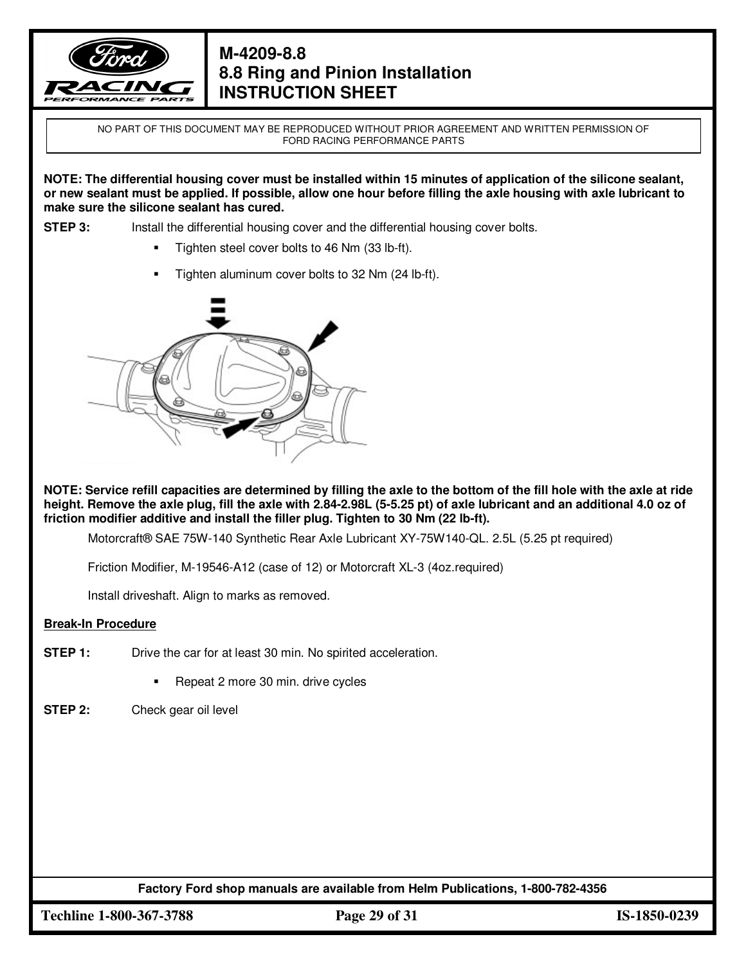

NO PART OF THIS DOCUMENT MAY BE REPRODUCED WITHOUT PRIOR AGREEMENT AND WRITTEN PERMISSION OF FORD RACING PERFORMANCE PARTS

**NOTE: The differential housing cover must be installed within 15 minutes of application of the silicone sealant, or new sealant must be applied. If possible, allow one hour before filling the axle housing with axle lubricant to make sure the silicone sealant has cured.**

**STEP 3:** Install the differential housing cover and the differential housing cover bolts.

- Tighten steel cover bolts to 46 Nm (33 lb-ft).
- Tighten aluminum cover bolts to 32 Nm (24 lb-ft).



**NOTE: Service refill capacities are determined by filling the axle to the bottom of the fill hole with the axle at ride height. Remove the axle plug, fill the axle with 2.84-2.98L (5-5.25 pt) of axle lubricant and an additional 4.0 oz of friction modifier additive and install the filler plug. Tighten to 30 Nm (22 lb-ft).**

Motorcraft® SAE 75W-140 Synthetic Rear Axle Lubricant XY-75W140-QL. 2.5L (5.25 pt required)

Friction Modifier, M-19546-A12 (case of 12) or Motorcraft XL-3 (4oz.required)

Install driveshaft. Align to marks as removed.

#### **Break-In Procedure**

- **STEP 1:** Drive the car for at least 30 min. No spirited acceleration.
	- Repeat 2 more 30 min. drive cycles
- **STEP 2:** Check gear oil level

**Factory Ford shop manuals are available from Helm Publications, 1-800-782-4356**

**Techline 1-800-367-3788 Page 29 of 31 IS-1850-0239**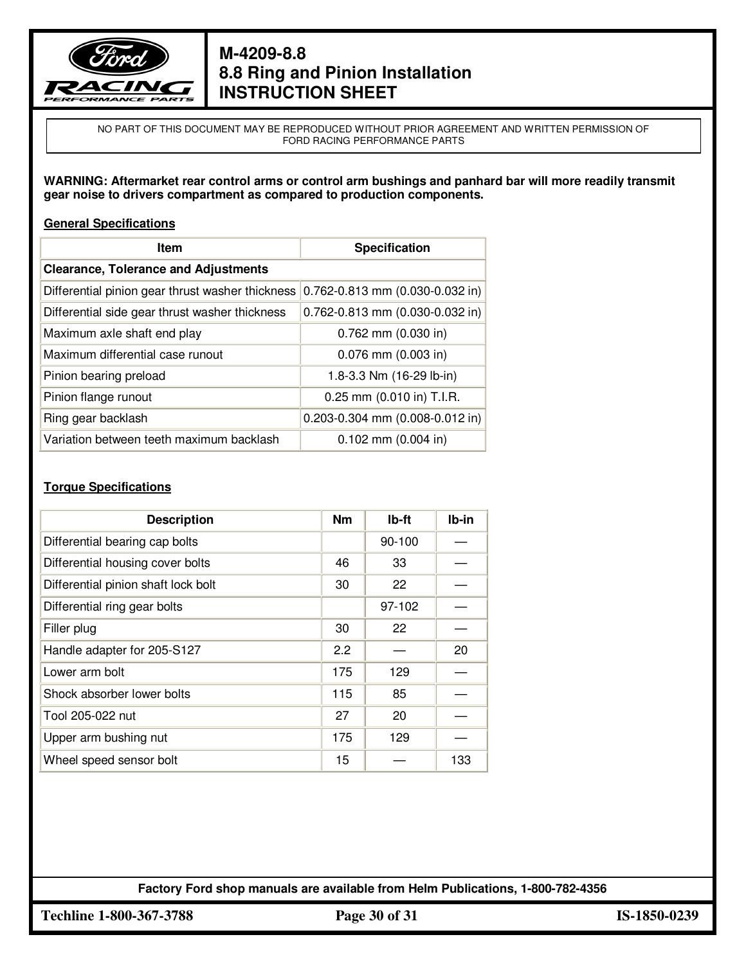

NO PART OF THIS DOCUMENT MAY BE REPRODUCED WITHOUT PRIOR AGREEMENT AND WRITTEN PERMISSION OF FORD RACING PERFORMANCE PARTS

**WARNING: Aftermarket rear control arms or control arm bushings and panhard bar will more readily transmit gear noise to drivers compartment as compared to production components.**

#### **General Specifications**

| Item                                             | <b>Specification</b>                   |  |
|--------------------------------------------------|----------------------------------------|--|
| <b>Clearance, Tolerance and Adjustments</b>      |                                        |  |
| Differential pinion gear thrust washer thickness | $0.762 - 0.813$ mm $(0.030 - 0.032$ in |  |
| Differential side gear thrust washer thickness   | 0.762-0.813 mm (0.030-0.032 in)        |  |
| Maximum axle shaft end play                      | $0.762$ mm $(0.030$ in)                |  |
| Maximum differential case runout                 | $0.076$ mm $(0.003$ in)                |  |
| Pinion bearing preload                           | 1.8-3.3 Nm (16-29 lb-in)               |  |
| Pinion flange runout                             | 0.25 mm (0.010 in) T.I.R.              |  |
| Ring gear backlash                               | $0.203 - 0.304$ mm $(0.008 - 0.012$ in |  |
| Variation between teeth maximum backlash         | $0.102$ mm $(0.004$ in)                |  |

#### **Torque Specifications**

| <b>Description</b>                  | <b>Nm</b> | Ib-ft  | Ib-in |
|-------------------------------------|-----------|--------|-------|
| Differential bearing cap bolts      |           | 90-100 |       |
| Differential housing cover bolts    | 46        | 33     |       |
| Differential pinion shaft lock bolt | 30        | 22     |       |
| Differential ring gear bolts        |           | 97-102 |       |
| Filler plug                         | 30        | 22     |       |
| Handle adapter for 205-S127         | 2.2       |        | 20    |
| Lower arm bolt                      | 175       | 129    |       |
| Shock absorber lower bolts          | 115       | 85     |       |
| Tool 205-022 nut                    | 27        | 20     |       |
| Upper arm bushing nut               | 175       | 129    |       |
| Wheel speed sensor bolt             | 15        |        | 133   |

**Factory Ford shop manuals are available from Helm Publications, 1-800-782-4356**

**Techline 1-800-367-3788 Page 30 of 31 IS-1850-0239**